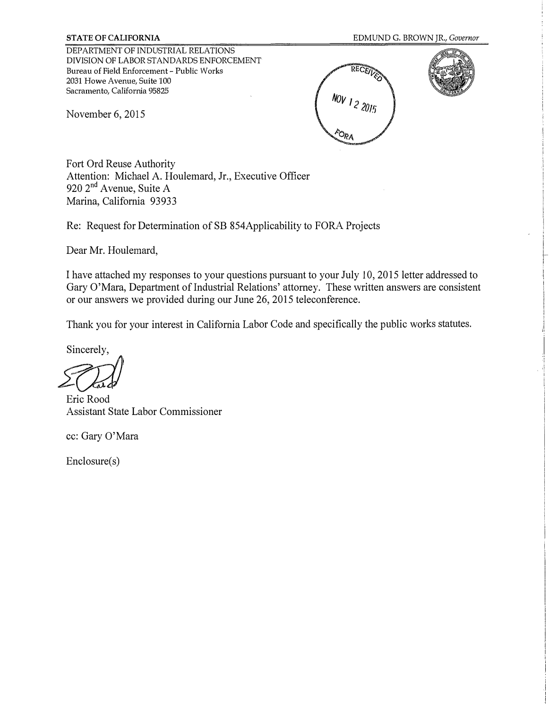DEPARTMENT OF INDUSTRIAL RELATIONS DIVISION OF LABOR STANDARDS ENFORCEMENT Bureau of Field Enforcement - Public Works 2031 Howe Avenue, Suite 100 Sacramento, California 95825

November 6, 2015





Fort Ord Reuse Authority Attention: Michael A. Houlemard, Jr., Executive Officer 920 2<sup>nd</sup> Avenue, Suite A Marina, California 93933

Re: Request for Determination of SB 854Applicability to FORA Projects

Dear Mr. Houlemard,

I have attached my responses to your questions pursuant to your July 10, 2015 letter addressed to Gary O'Mara, Department of Industrial Relations' attorney. These written answers are consistent or our answers we provided during our June 26, 2015 teleconference.

Thank you for your interest in California Labor Code and specifically the public works statutes.

Sincerely,

*fo;;/)* 

Eric Rood Assistant State Labor Commissioner

cc: Gary O'Mara

Enclosure(s)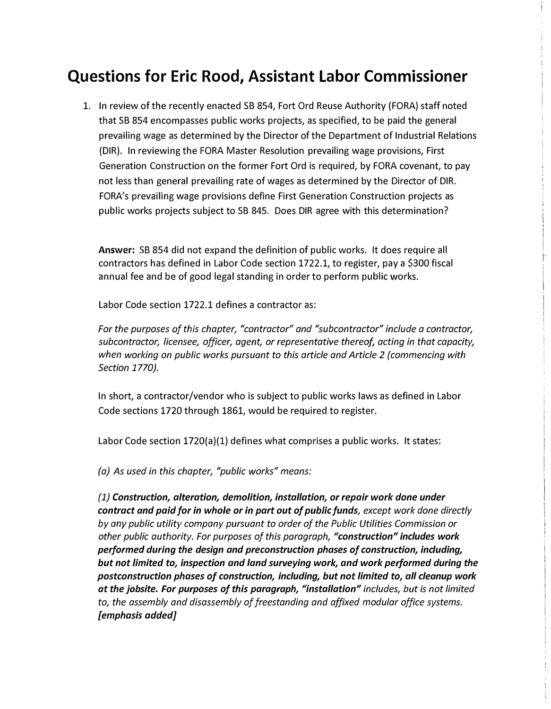## **Questions for Eric Rood, Assistant Labor Commissioner**

1. In review of the recently enacted SB 854, Fort Ord Reuse Authority (FORA) staff noted that SB 854 encompasses public works projects, as specified, to be paid the general prevailing wage as determined by the Director of the Department of Industrial Relations (DIR). In reviewing the FORA Master Resolution prevailing wage provisions, First Generation Construction on the former Fort Ord is required, by FORA covenant, to pay not less than general prevailing rate of wages as determined by the Director of DIR. FORA's prevailing wage provisions define First Generation Construction projects as public works projects subject to SB 845. Does DIR agree with this determination?

**Answer:** SB 854 did not expand the definition of public works. It does require all contractors has defined in Labor Code section 1722.1, to register, pay a \$300 fiscal annual fee and be of good legal standing in order to perform public works.

Labor Code section 1722.1 defines a contractor as:

*For the purposes of this chapter, "contractor" and "subcontractor" include a contractor, subcontractor, licensee, officer, agent, or representative thereof, acting in that capacity, when working on public works pursuant to this article and Article 2 (commencing with Section 1770}.* 

In short, a contractor/vendor who is subject to public works laws as defined in Labor Code sections 1720 through 1861, would be required to register.

Labor Code section 1720(a)(1) defines what comprises a public works. It states:

*(a) As used in this chapter, "public works" means:*

*(1) Construction, alteration, demolition, installation, or repair work done under contract and paid for in whole or in part out of public funds, except work done directly by any public utility company pursuant to order of the Public Utilities Commission or other public authority. For purposes of this paragraph, "construction" includes work performed during the design and preconstruction phases of construction, including, but not limited to, inspection and land surveying work, and work performed during the postconstruction phases of construction, including, but not limited to, all cleanup work at the jobsite. For purposes of this paragraph, "installation" includes, but is not limited to, the assembly and disassembly of freestanding and affixed modular office systems. [emphasis added]*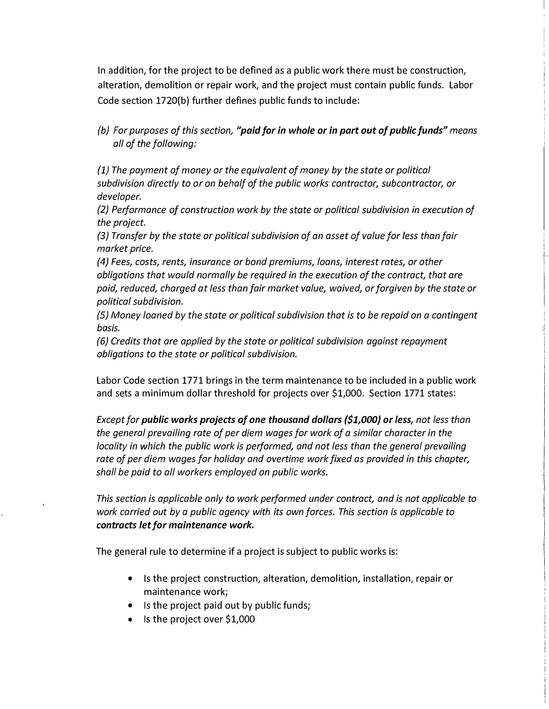In addition, for the project to be defined as a public work there must be construction, alteration, demolition or repair work, and the project must contain public funds. Labor Code section 1720(b) further defines public funds to include:

*(b) For purposes of this section, "paid for in whole or in part out of public funds" means all of the following:*

*{1} The payment of money or the equivalent of money by the state or political subdivision directly to or on behalf of the public works contractor, subcontractor, or developer.*

*(2) Performance of construction work by the state or political subdivision in execution of the project.*

*{3} Transfer by the state or political subdivision of an asset of value for less than fair market price.*

*(4) Fees, costs, rents, insurance or bond premiums, loans, interest rates, or other obligations that would normally be required in the execution of the contract, that are paid, reduced, charged at less than fair market value, waived, or forgiven by the state or political subdivision.*

*(5) Money loaned by the state or political subdivision that is to be repaid on a contingent basis.*

*{6} Credits that are applied by the state or political subdivision against repayment obligations to the state or political subdivision.*

Labor Code section 1771 brings in the term maintenance to be included in a public work and sets a minimum dollar threshold for projects over \$1,000. Section 1771 states:

*Except for public works projects of one thousand dollars (\$1,000} or Jess, not less than the general prevailing rate of per diem wages for work of a similar character in the locality in which the public work is performed, and not less than the general prevailing rate of per diem wages for holiday and overtime work fixed as provided in this chapter, shall be paid to all workers employed on public works.* 

*This section is applicable only to work performed under contract, and is not applicable to work carried out by a public agency with its own forces. This section is applicable to contracts Jet for maintenance work.* 

The general rule to determine if a project is subject to public works is:

- Is the project construction, alteration, demolition, installation, repair or maintenance work;
- Is the project paid out by public funds;
- Is the project over \$1,000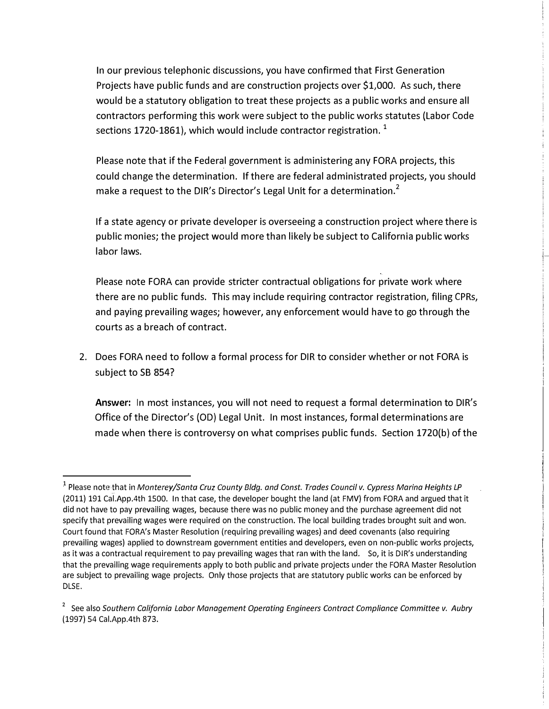In our previous telephonic discussions, you have confirmed that First Generation Projects have public funds and are construction projects over \$1,000. As such, there would be a statutory obligation to treat these projects as a public works and ensure all contractors performing this work were subject to the public works statutes (Labor Code sections 1720-1861), which would include contractor registration.  $1$ 

Please note that if the Federal government is administering any FORA projects, this could change the determination. If there are federal administrated projects, you should make a request to the DIR's Director's Legal Unit for a determination.<sup>2</sup>

If a state agency or private developer is overseeing a construction project where there is public monies; the project would more than likely be subject to California public works labor laws.

Please note FORA can provide stricter contractual obligations for private work where there are no public funds. This may include requiring contractor registration, filing CPRs, and paying prevailing wages; however, any enforcement would have to go through the courts as a breach of contract.

2. Does FORA need to follow a formal process for DIR to consider whether or not FORA is subject to SB 854?

**Answer:** In most instances, you will not need to request a formal determination to DIR's Office of the Director's (OD} Legal Unit. In most instances, formal determinations are made when there is controversy on what comprises public funds. Section 1720(b} of the

<sup>&</sup>lt;sup>1</sup> Please note that in *Monterey/Santa Cruz County Bldg. and Const. Trades Council v. Cypress Marina Heights LP* (2011) 191 Cal.App.4th 1500. In that case, the developer bought the land (at FMV) from FORA and argued that it did not have to pay prevailing wages, because there was no public money and the purchase agreement did not specify that prevailing wages were required on the construction. The local building trades brought suit and won. Court found that FORA's Master Resolution (requiring prevailing wages) and deed covenants (also requiring prevailing wages) applied to downstream government entities and developers, even on non-public works projects, as it was a contractual requirement to pay prevailing wages that ran with the land. So, it is DIR's understanding that the prevailing wage requirements apply to both public and private projects under the FORA Master Resolution are subject to prevailing wage projects. Only those projects that are statutory public works can be enforced by DLSE.

<sup>2</sup> See also *Southern California Labor Management Operating Engineers Contract Compliance Committee v. Aubry* (1997) 54 Cal.App.4th 873.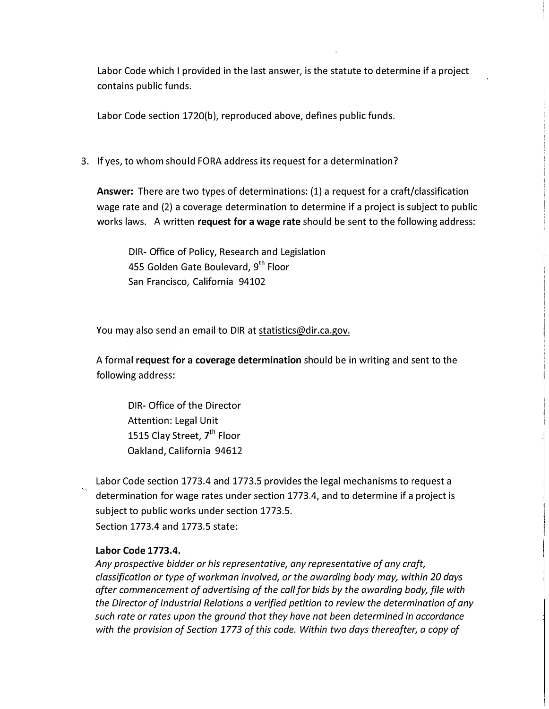Labor Code which I provided in the last answer, is the statute to determine if a project contains public funds.

Labor Code section 1720(b), reproduced above, defines public funds.

3. If yes, to whom should FORA address its request for a determination?

**Answer:** There are two types of determinations: (1) a request for a craft/classification wage rate and (2) a coverage determination to determine if a project is subject to public works laws. A written **request for a wage rate** should be sent to the following address:

DIR- Office of Policy, Research and Legislation 455 Golden Gate Boulevard, 9<sup>th</sup> Floor San Francisco, California 94102

You may also send an email to DIR at statistics@dir.ca.gov.

A formal **request for a coverage determination** should be in writing and sent to the following address:

DIR- Office of the Director Attention: Legal Unit 1515 Clay Street, 7<sup>th</sup> Floor Oakland, California 94612

Labor Code section 1773.4 and 1773.5 provides the legal mechanisms to request a determination for wage rates under section 1773.4, and to determine if a project is subject to public works under section 1773.5. Section 1773.4 and 1773.5 state:

## **Labor Code 1773.4.**

*Any prospective bidder or his representative, any representative of any craft, classification or type of workman involved, or the awarding body may, within 20 days after commencement of advertising of the call for bids by the awarding body, file with the Director of Industrial Relations a verified petition to review the determination of any such rate or rates upon the ground that they have not been determined in accordance with the provision of Section 1773 of this code. Within two days thereafter, a copy of*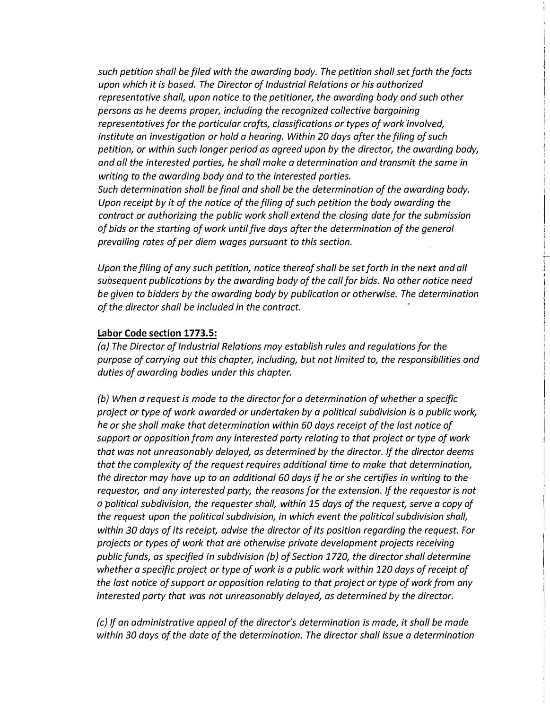*such petition shall be filed with the awarding body. The petition shall set forth the facts upon which it is based. The Director of Industrial Relations or his authorized representative shall, upon notice to the petitioner, the awarding body and such other persons as he deems proper, including the recognized collective bargaining representatives for the particular crafts, classifications or types of work involved, institute an investigation or hold a hearing. Within 20 days after the filing of such petition, or within such longer period as agreed upon by the director, the awarding body, and all the interested parties, he shall make a determination and transmit the same in writing to the awarding body and to the interested parties. Such determination shall be final and shall be the determination of the awarding body.* 

*Upon receipt by it of the notice of the filing of such petition the body awarding the contract or authorizing the public work shall extend the closing date for the submission of bids or the starting of work until five days after the determination of the general prevailing rates of per diem wages pursuant to this section.* 

*Upon the filing of any such petition, notice thereof shall be set forth in the next and all subsequent publications by the awarding body of the call for bids. No other notice need be given to bidders by the awarding body by publication or otherwise. The determination of the director shall be included in the contract.* 

## **Labor Code section 1773.5:**

*(a) The Director of Industrial Relations may establish rules and regulations for the purpose of carrying out this chapter, including, but not llmited to, the responsibilities and duties of awarding bodies under this chapter.*

*(b) When a request is made to the director for a determination of whether a specific project or type of work awarded or undertaken by a political subdivision is a public work, he or she shall make that determination within 60 days receipt of the last notice of support or opposition from any interested party relating to that project or type of work that was not unreasonably delayed, as determined by the director. If the director deems that the complexity of the request requires additional time to make that determination, the director may have up to an additional 60 days if he or she certifies in writing to the requestor, and any interested party, the reasons for the extension. If the requestor is not a political subdivision, the requester shall, within 15 days of the request, serve a copy of the request upon the political subdivision, in which event the political subdivision shall, within 30 days of its receipt, advise the director of its position regarding the request. For projects or types of work that are otherwise private development projects receiving public funds, as specified in subdivision (b) of Section 1720, the director shall determine whether a specific project or type of work is a public work within 120 days of receipt of the last notice of support or opposition relating to that project or type of work from any interested party that was not unreasonably delayed, as determined by the director.*

*(c) If an administrative appeal of the director's determination is made, it shall be made within 30 days of the date of the determination. The director shall issue a determination*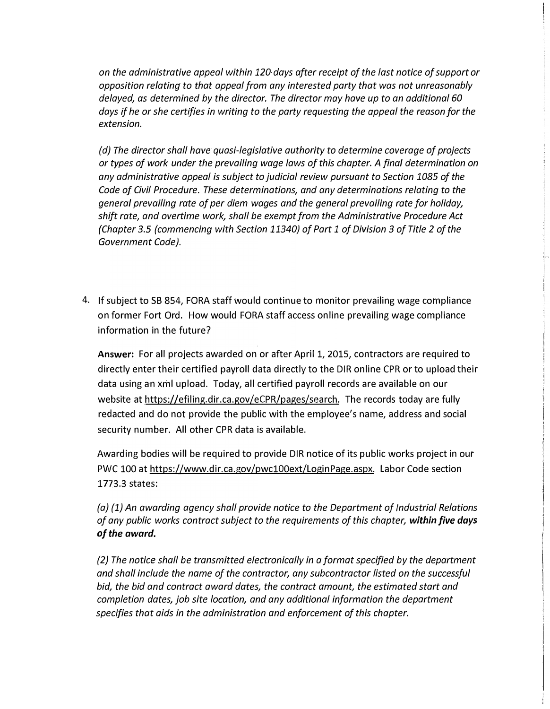*on the administrative appeal within 120 days after receipt of the last notice of support or opposition relating to that appeal from any interested party that was not unreasonably delayed, as determined by the director. The director may have up to an additional 60 days if he or she certifies in writing to the party requesting the appeal the reason for the extension.* 

*(d} The director shall have quasi-legislative authority to determine coverage of projects or types of work under the prevailing wage laws of this chapter. A final determination on any administrative appeal is subject to judicial review pursuant to Section 1085 of the Code of Civil Procedure. These determinations, and any determinations relating to the general prevailing rate of per diem wages and the general prevailing rate for holiday, shift rate, and overtime work, shall be exempt from the Administrative Procedure Act {Chapter 3.5 (commencing with Section 11340} of Part 1 of Division 3 of Title 2 of the Government Code).* 

4. If subject to SB 854, FORA staff would continue to monitor prevailing wage compliance on former Fort Ord. How would FORA staff access on line prevailing wage compliance information in the future?

**Answer:** For all projects awarded on or after April 1, 2015, contractors are required to directly enter their certified payroll data directly to the DIR on line CPR or to upload their data using an xml upload. Today, all certified payroll records are available on our website at https://efiling.dir.ca.gov/eCPR/pages/search. The records today are fully redacted and do not provide the public with the employee's name, address and social security number. All other CPR data is available.

Awarding bodies will be required to provide DIR notice of its public works project in our PWC 100 at https://www.dir.ca.gov/pwc100ext/LoginPage.aspx. Labor Code section 1773.3 states:

*(a) (1) An awarding agency shall provide notice to the Department of Industrial Relations of any public works contract subject to the requirements of this chapter, within five days of the award.*

*(2) The notice shall be transmitted electronically in a format specified by the department and shall include the name of the contractor, any subcontractor listed on the successful bid, the bid and contract award dates, the contract amount, the estimated start and completion dates, job site location, and any additional information the department specifies that aids in the administration and enforcement of this chapter.*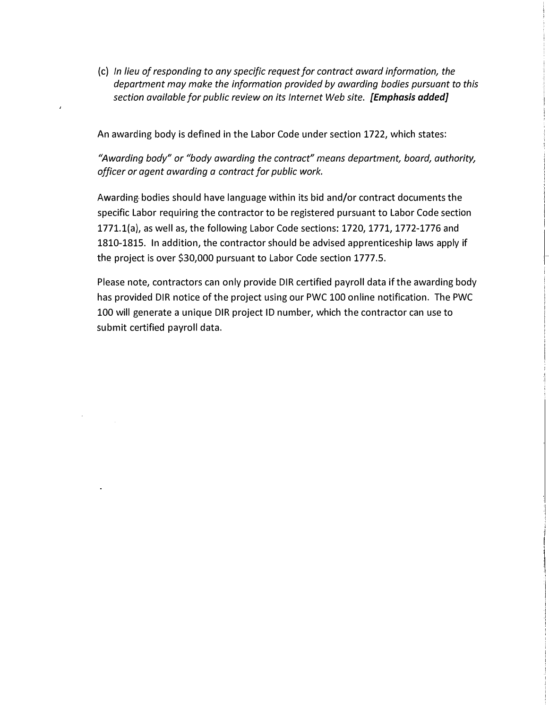(c) *In lieu of responding to any specific request/or contract award information, the department may make the information provided by awarding bodies pursuant to this section available for public review on its Internet Web site. [Emphasis added]*

An awarding body is defined in the Labor Code under section 1722, which states:

 $\bar{z}$ 

*"Awarding body" or "body awarding the contract" means department, board, authority, officer or agent awarding a contract for public work.* 

Awarding bodies should have language within its bid and/or contract documents the specific Labor requiring the contractor to be registered pursuant to Labor Code section 1771.l(a), as well as, the following Labor Code sections: 1720, 1771, 1772-1776 and 1810-1815. In addition, the contractor should be advised apprenticeship laws apply if the project is over \$30,000 pursuant to Labor Code section 1777.5.

Please note, contractors can only provide DIR certified payroll data if the awarding body has provided DIR notice of the project using our PWC 100 on line notification. The PWC 100 will generate a unique DIR project ID number, which the contractor can use to submit certified payroll data.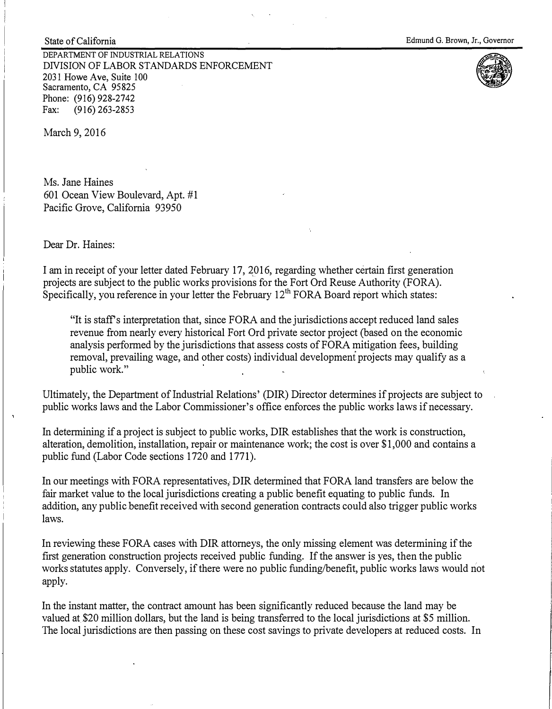DEPARTMENT OF INDUSTRIAL RELATIONS DNISION OF LABOR STANDARDS ENFORCEMENT 2031 Howe Ave, Suite 100 Sacramento, CA 95825 Phone: (916) 928-2742<br>Fax: (916) 263-2853 Fax: (916) 263-2853



March 9, 2016

State of California

Ms. Jane Haines 601 Ocean View Boulevard, Apt. #1 Pacific Grove, California 93950

Dear Dr. Haines:

I am in receipt of your letter dated February 17, 2016, regarding whether certain first generation projects are subject to the public works provisions for the Fort Ord Reuse Authority (FORA). Specifically, you reference in your letter the February 12<sup>th</sup> FORA Board report which states:

"It is staff's interpretation that, since FORA and the jurisdictions accept reduced land sales revenue from nearly every historical Fort Ord private sector project (based on the economic analysis performed by the jurisdictions that assess costs of FORA mitigation fees, building removal, prevailing wage, and other costs) individual development projects may qualify as a public work."

Ultimately, the Department of Industrial Relations' (DIR) Director determines if projects are subject to public works laws and the Labor Commissioner's office enforces the public works laws if necessary.

In determining if a project is subject to public works, DIR establishes that the work is construction, alteration, demolition, installation, repair or maintenance work; the cost is over \$1,000 and contains a public fund (Labor Code sections 1720 and 1771).

In our meetings with FORA representatives, DIR determined that FORA land transfers are below the fair market value to the local jurisdictions creating a public benefit equating to public funds. In addition, any public benefit received with second generation contracts could also trigger public works laws.

In reviewing these FORA cases with DIR attorneys, the only missing element was determining if the first generation construction projects received public funding. If the answer is yes, then the public works statutes apply. Conversely, if there were no public funding/benefit, public works laws would not apply.

In the instant matter, the contract amount has been significantly reduced because the land may be valued at \$20 million dollars, but the land is being transferred to the local jurisdictions at\_\$5 million. The local jurisdictions are then passing on these cost savings to private developers at reduced costs. In